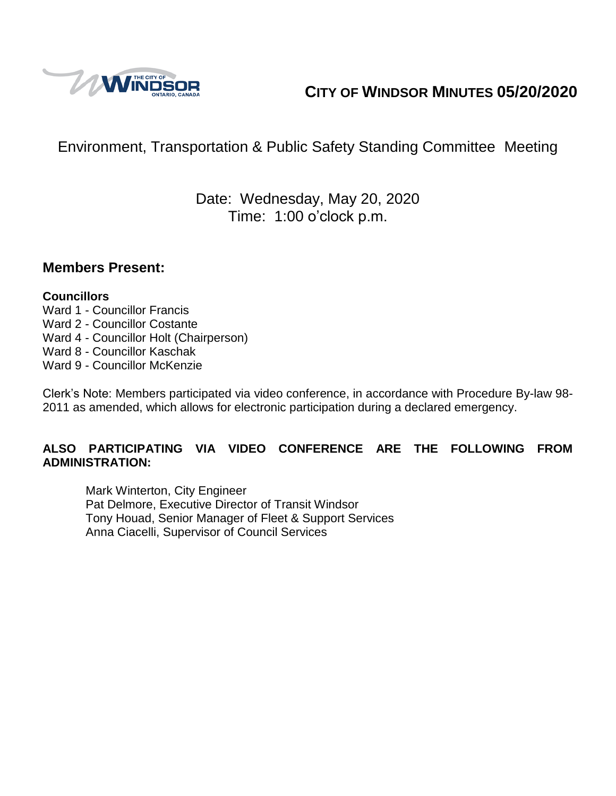

# **CITY OF WINDSOR MINUTES 05/20/2020**

# Environment, Transportation & Public Safety Standing Committee Meeting

## Date: Wednesday, May 20, 2020 Time: 1:00 o'clock p.m.

#### **Members Present:**

#### **Councillors**

- Ward 1 Councillor Francis Ward 2 - Councillor Costante Ward 4 - Councillor Holt (Chairperson)
- Ward 8 Councillor Kaschak
- Ward 9 Councillor McKenzie

Clerk's Note: Members participated via video conference, in accordance with Procedure By-law 98- 2011 as amended, which allows for electronic participation during a declared emergency.

#### **ALSO PARTICIPATING VIA VIDEO CONFERENCE ARE THE FOLLOWING FROM ADMINISTRATION:**

Mark Winterton, City Engineer Pat Delmore, Executive Director of Transit Windsor Tony Houad, Senior Manager of Fleet & Support Services Anna Ciacelli, Supervisor of Council Services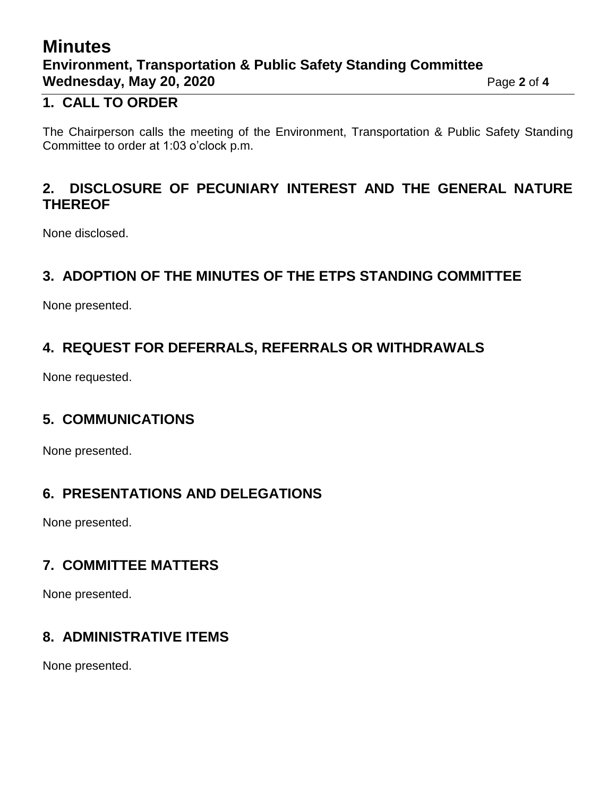# **Minutes Environment, Transportation & Public Safety Standing Committee Wednesday, May 20, 2020 Page 2** of 4

### **1. CALL TO ORDER**

The Chairperson calls the meeting of the Environment, Transportation & Public Safety Standing Committee to order at 1:03 o'clock p.m.

### **2. DISCLOSURE OF PECUNIARY INTEREST AND THE GENERAL NATURE THEREOF**

None disclosed.

### **3. ADOPTION OF THE MINUTES OF THE ETPS STANDING COMMITTEE**

None presented.

### **4. REQUEST FOR DEFERRALS, REFERRALS OR WITHDRAWALS**

None requested.

## **5. COMMUNICATIONS**

None presented.

### **6. PRESENTATIONS AND DELEGATIONS**

None presented.

### **7. COMMITTEE MATTERS**

None presented.

## **8. ADMINISTRATIVE ITEMS**

None presented.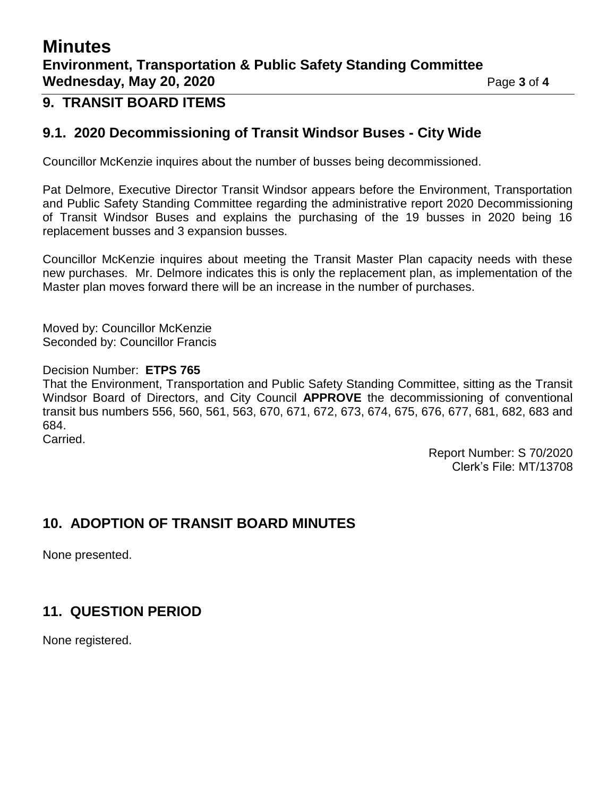# **Minutes Environment, Transportation & Public Safety Standing Committee Wednesday, May 20, 2020 Page 3 of 4**

### **9. TRANSIT BOARD ITEMS**

### **9.1. 2020 Decommissioning of Transit Windsor Buses - City Wide**

Councillor McKenzie inquires about the number of busses being decommissioned.

Pat Delmore, Executive Director Transit Windsor appears before the Environment, Transportation and Public Safety Standing Committee regarding the administrative report 2020 Decommissioning of Transit Windsor Buses and explains the purchasing of the 19 busses in 2020 being 16 replacement busses and 3 expansion busses.

Councillor McKenzie inquires about meeting the Transit Master Plan capacity needs with these new purchases. Mr. Delmore indicates this is only the replacement plan, as implementation of the Master plan moves forward there will be an increase in the number of purchases.

Moved by: Councillor McKenzie Seconded by: Councillor Francis

Decision Number: **ETPS 765**

That the Environment, Transportation and Public Safety Standing Committee, sitting as the Transit Windsor Board of Directors, and City Council **APPROVE** the decommissioning of conventional transit bus numbers 556, 560, 561, 563, 670, 671, 672, 673, 674, 675, 676, 677, 681, 682, 683 and 684. Carried.

> Report Number: S 70/2020 Clerk's File: MT/13708

### **10. ADOPTION OF TRANSIT BOARD MINUTES**

None presented.

### **11. QUESTION PERIOD**

None registered.